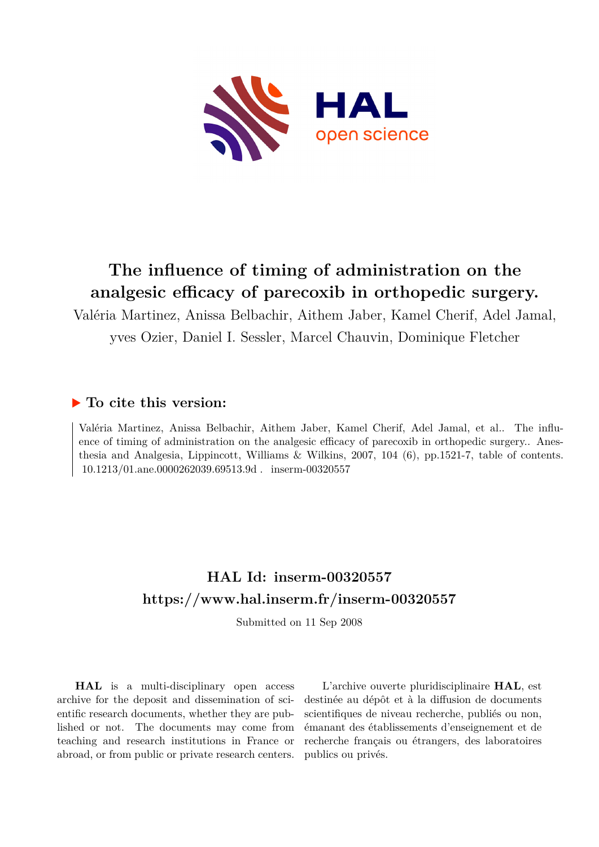

## **The influence of timing of administration on the analgesic efficacy of parecoxib in orthopedic surgery.**

Valéria Martinez, Anissa Belbachir, Aithem Jaber, Kamel Cherif, Adel Jamal, yves Ozier, Daniel I. Sessler, Marcel Chauvin, Dominique Fletcher

### **To cite this version:**

Valéria Martinez, Anissa Belbachir, Aithem Jaber, Kamel Cherif, Adel Jamal, et al.. The influence of timing of administration on the analgesic efficacy of parecoxib in orthopedic surgery.. Anesthesia and Analgesia, Lippincott, Williams & Wilkins, 2007, 104 (6), pp.1521-7, table of contents.  $10.1213/01$ .ane.0000262039.69513.9d . inserm-00320557

### **HAL Id: inserm-00320557 <https://www.hal.inserm.fr/inserm-00320557>**

Submitted on 11 Sep 2008

**HAL** is a multi-disciplinary open access archive for the deposit and dissemination of scientific research documents, whether they are published or not. The documents may come from teaching and research institutions in France or abroad, or from public or private research centers.

L'archive ouverte pluridisciplinaire **HAL**, est destinée au dépôt et à la diffusion de documents scientifiques de niveau recherche, publiés ou non, émanant des établissements d'enseignement et de recherche français ou étrangers, des laboratoires publics ou privés.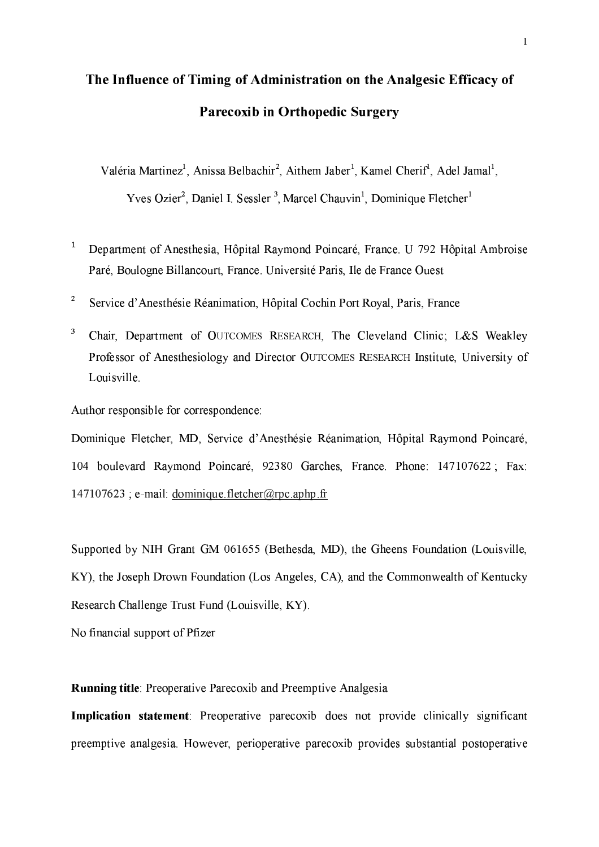# The Influence of Timing of Administration on the Analgesic Efficacy of **Parecoxib in Orthopedic Surgery**

Valéria Martinez<sup>1</sup>, Anissa Belbachir<sup>2</sup>, Aithem Jaber<sup>1</sup>, Kamel Cherif<sup>1</sup>, Adel Jamal<sup>1</sup>, Yves Ozier<sup>2</sup>, Daniel I. Sessler<sup>3</sup>, Marcel Chauvin<sup>1</sup>, Dominique Fletcher<sup>1</sup>

- $\mathbf{1}$ Department of Anesthesia, Hôpital Raymond Poincaré, France. U 792 Hôpital Ambroise Paré, Boulogne Billancourt, France. Université Paris, Ile de France Ouest
- $\mathbf{2}$ Service d'Anesthésie Réanimation, Hôpital Cochin Port Royal, Paris, France
- 3 Chair, Department of OUTCOMES RESEARCH, The Cleveland Clinic; L&S Weakley Professor of Anesthesiology and Director OUTCOMES RESEARCH Institute, University of Louisville.

Author responsible for correspondence:

Dominique Fletcher, MD, Service d'Anesthésie Réanimation, Hôpital Raymond Poincaré, 104 boulevard Raymond Poincaré, 92380 Garches, France. Phone: 147107622; Fax:  $147107623$ ; e-mail: dominique fletcher@rpc.aphp.fr

Supported by NIH Grant GM 061655 (Bethesda, MD), the Gheens Foundation (Louisville, KY), the Joseph Drown Foundation (Los Angeles, CA), and the Commonwealth of Kentucky Research Challenge Trust Fund (Louisville, KY).

No financial support of Pfizer

**Running title:** Preoperative Parecoxib and Preemptive Analgesia

Implication statement: Preoperative parecoxib does not provide clinically significant preemptive analgesia. However, perioperative parecoxib provides substantial postoperative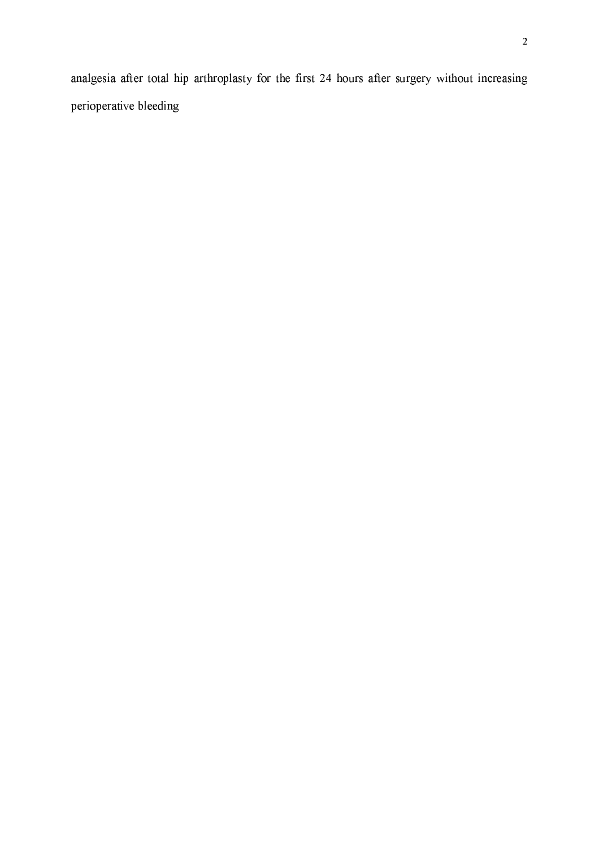analgesia after total hip arthroplasty for the first 24 hours after surgery without increasing perioperative bleeding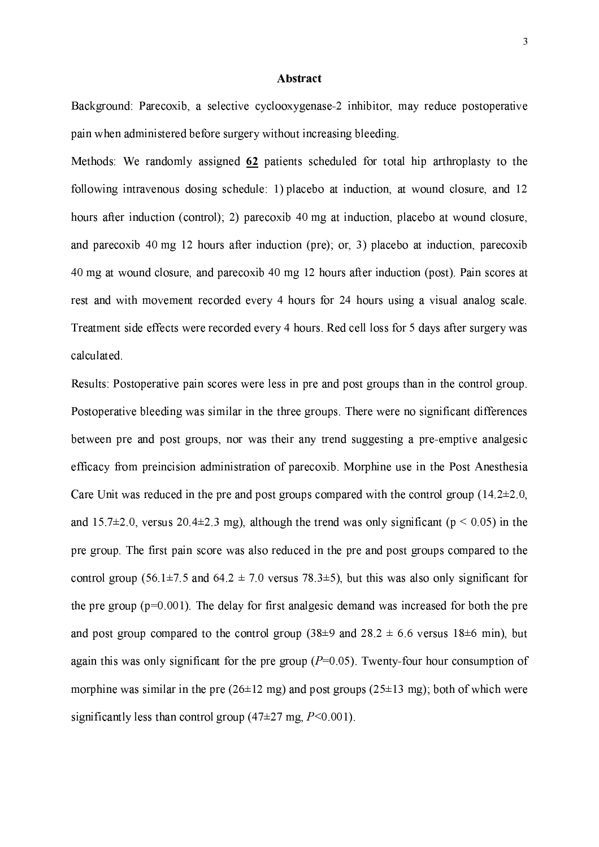#### Abstract

Background: Parecoxib, a selective cyclooxygenase-2 inhibitor, may reduce postoperative pain when administered before surgery without increasing bleeding.

Methods: We randomly assigned 62 patients scheduled for total hip arthroplasty to the following intravenous dosing schedule: 1) placebo at induction, at wound closure, and 12 hours after induction (control); 2) parecoxib 40 mg at induction, placebo at wound closure, and parecoxib 40 mg 12 hours after induction (pre); or, 3) placebo at induction, parecoxib 40 mg at wound closure, and parecoxib 40 mg 12 hours after induction (post). Pain scores at rest and with movement recorded every 4 hours for 24 hours using a visual analog scale. Treatment side effects were recorded every 4 hours. Red cell loss for 5 days after surgery was calculated.

Results: Postoperative pain scores were less in pre and post groups than in the control group. Postoperative bleeding was similar in the three groups. There were no significant differences between pre and post groups, nor was their any trend suggesting a pre-emptive analgesic efficacy from preincision administration of parecoxib. Morphine use in the Post Anesthesia Care Unit was reduced in the pre and post groups compared with the control group  $(14.2\pm 2.0,$ and 15.7 $\pm$ 2.0, versus 20.4 $\pm$ 2.3 mg), although the trend was only significant ( $p < 0.05$ ) in the pre group. The first pain score was also reduced in the pre and post groups compared to the control group (56.1±7.5 and 64.2 ± 7.0 versus 78.3±5), but this was also only significant for the pre group  $(p=0.001)$ . The delay for first analgesic demand was increased for both the pre and post group compared to the control group (38 $\pm$ 9 and 28.2  $\pm$  6.6 versus 18 $\pm$ 6 min), but again this was only significant for the pre group  $(P=0.05)$ . Twenty-four hour consumption of morphine was similar in the pre ( $26\pm12$  mg) and post groups ( $25\pm13$  mg); both of which were significantly less than control group (47 $\pm$ 27 mg, P<0.001).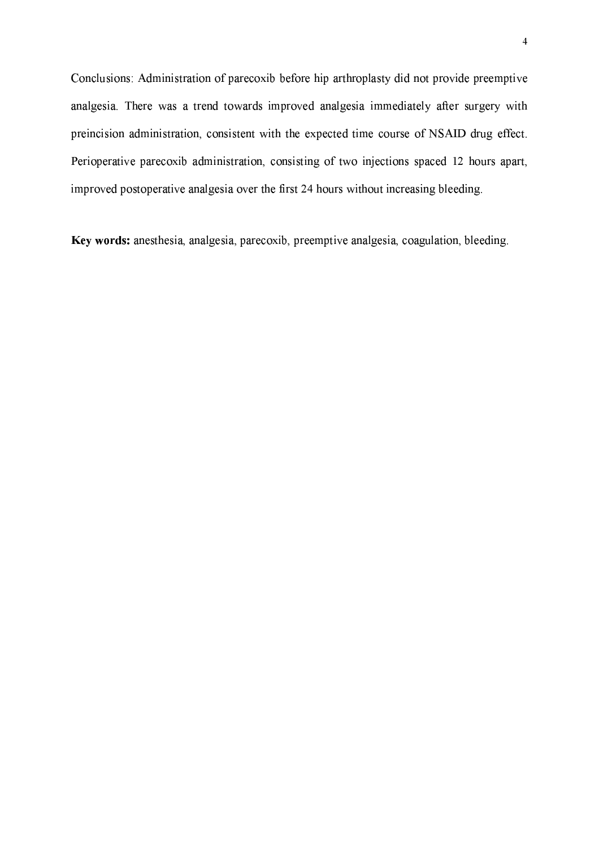Conclusions: Administration of parecoxib before hip arthroplasty did not provide preemptive analgesia. There was a trend towards improved analgesia immediately after surgery with preincision administration, consistent with the expected time course of NSAID drug effect. Perioperative parecoxib administration, consisting of two injections spaced 12 hours apart, improved postoperative analgesia over the first 24 hours without increasing bleeding.

Key words: anesthesia, analgesia, parecoxib, preemptive analgesia, coagulation, bleeding.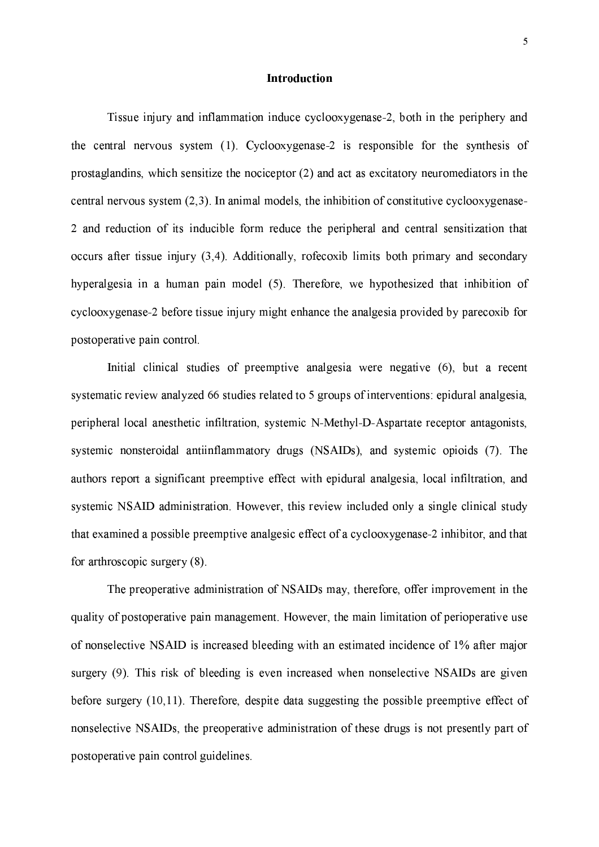#### **Introduction**

Tissue injury and inflammation induce cyclooxygenase-2, both in the periphery and the central nervous system (1). Cyclooxygenase-2 is responsible for the synthesis of prostaglandins, which sensitize the nociceptor (2) and act as excitatory neuromediators in the central nervous system  $(2,3)$ . In animal models, the inhibition of constitutive cyclooxygenese-2 and reduction of its inducible form reduce the peripheral and central sensitization that occurs after tissue injury  $(3,4)$ . Additionally, rofecoxib limits both primary and secondary hyperalgesia in a human pain model (5). Therefore, we hypothesized that inhibition of cyclooxygenase-2 before tissue injury might enhance the analgesia provided by parecoxib for postoperative pain control.

Initial clinical studies of preemptive analgesia were negative (6), but a recent systematic review analyzed 66 studies related to 5 groups of interventions: epidural analgesia, peripheral local anesthetic infiltration, systemic N-Methyl-D-Aspartate receptor antagonists, systemic nonsteroidal antiinflammatory drugs (NSAIDs), and systemic opioids (7). The authors report a significant preemptive effect with epidural analgesia, local infiltration, and systemic NSAID administration. However, this review included only a single clinical study that examined a possible preemptive analgesic effect of a cyclooxygenase-2 inhibitor, and that for arthroscopic surgery (8).

The preoperative administration of NSAIDs may, therefore, offer improvement in the quality of postoperative pain management. However, the main limitation of perioperative use of nonselective NSAID is increased bleeding with an estimated incidence of 1% after major surgery (9). This risk of bleeding is even increased when nonselective NSAIDs are given before surgery (10,11). Therefore, despite data suggesting the possible preemptive effect of nonselective NSAIDs, the preoperative administration of these drugs is not presently part of postoperative pain control guidelines.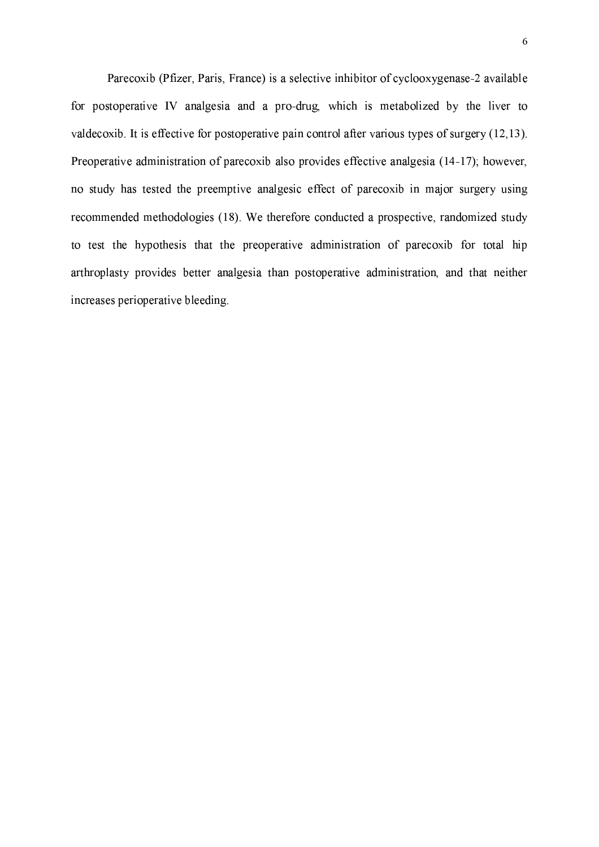Parecoxib (Pfizer, Paris, France) is a selective inhibitor of cyclooxygenase-2 available for postoperative IV analgesia and a pro-drug, which is metabolized by the liver to valdecoxib. It is effective for postoperative pain control after various types of surgery (12,13). Preoperative administration of parecoxib also provides effective analgesia (14-17); however, no study has tested the preemptive analgesic effect of parecoxib in major surgery using recommended methodologies (18). We therefore conducted a prospective, randomized study to test the hypothesis that the preoperative administration of parecoxib for total hip arthroplasty provides better analgesia than postoperative administration, and that neither increases perioperative bleeding.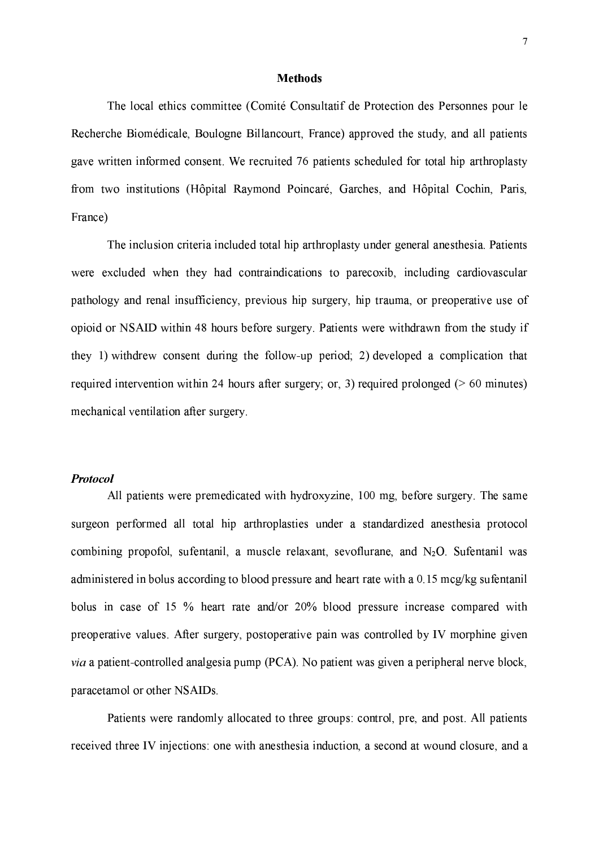#### **Methods**

The local ethics committee (Comité Consultatif de Protection des Personnes pour le Recherche Biomédicale, Boulogne Billancourt, France) approved the study, and all patients gave written informed consent. We recruited 76 patients scheduled for total hip arthroplasty from two institutions (Hôpital Raymond Poincaré, Garches, and Hôpital Cochin, Paris, France)

The inclusion criteria included total hip arthroplasty under general anesthesia. Patients were excluded when they had contraindications to parecoxib, including cardiovascular pathology and renal insufficiency, previous hip surgery, hip trauma, or preoperative use of opioid or NSAID within 48 hours before surgery. Patients were withdrawn from the study if they 1) withdrew consent during the follow-up period; 2) developed a complication that required intervention within 24 hours after surgery; or, 3) required prolonged ( $> 60$  minutes) mechanical ventilation after surgery.

#### **Protocol**

All patients were premedicated with hydroxyzine, 100 mg, before surgery. The same surgeon performed all total hip arthroplasties under a standardized anesthesia protocol combining propofol, sufentanil, a muscle relaxant, sevoflurane, and  $N_2O$ . Sufentanil was administered in bolus according to blood pressure and heart rate with a  $0.15$  mcg/kg sufentanil bolus in case of 15 % heart rate and/or 20% blood pressure increase compared with preoperative values. After surgery, postoperative pain was controlled by IV morphine given via a patient-controlled analgesia pump (PCA). No patient was given a peripheral nerve block, paracetamol or other NSAIDs.

Patients were randomly allocated to three groups: control, pre, and post. All patients received three IV injections: one with anesthesia induction, a second at wound closure, and a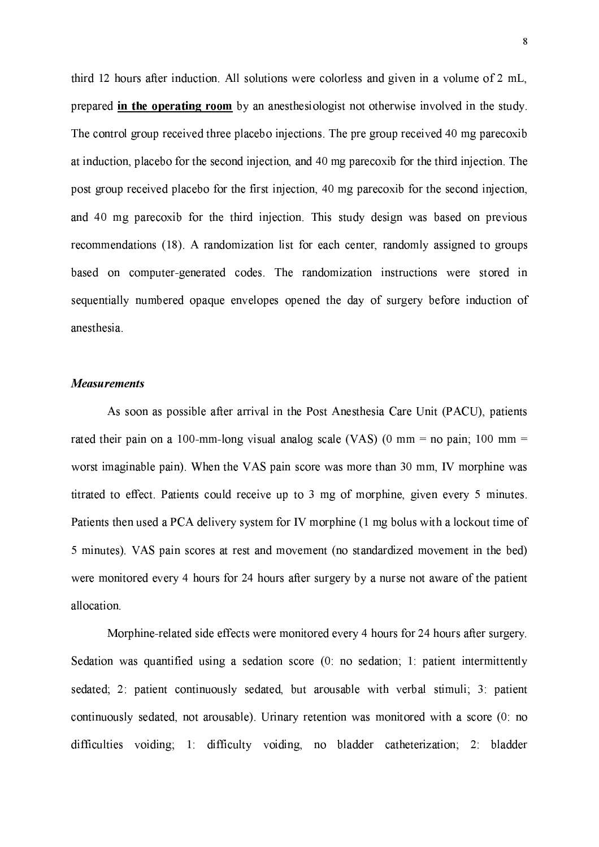third 12 hours after induction. All solutions were colorless and given in a volume of 2 mL, prepared in the operating room by an anesthesiologist not otherwise involved in the study. The control group received three placebo injections. The pre group received 40 mg parecoxib at induction, placebo for the second injection, and 40 mg parecoxib for the third injection. The post group received placebo for the first injection, 40 mg parecoxib for the second injection, and 40 mg parecoxib for the third injection. This study design was based on previous recommendations (18). A randomization list for each center, randomly assigned to groups based on computer-generated codes. The randomization instructions were stored in sequentially numbered opaque envelopes opened the day of surgery before induction of anesthesia.

#### **Measurements**

As soon as possible after arrival in the Post Anesthesia Care Unit (PACU), patients rated their pain on a 100-mm-long visual analog scale (VAS) (0 mm = no pain; 100 mm = worst imaginable pain). When the VAS pain score was more than 30 mm, IV morphine was titrated to effect. Patients could receive up to 3 mg of morphine, given every 5 minutes. Patients then used a PCA delivery system for IV morphine (1 mg bolus with a lockout time of 5 minutes). VAS pain scores at rest and movement (no standardized movement in the bed) were monitored every 4 hours for 24 hours after surgery by a nurse not aware of the patient allocation

Morphine-related side effects were monitored every 4 hours for 24 hours after surgery. Sedation was quantified using a sedation score (0: no sedation; 1: patient intermittently sedated; 2: patient continuously sedated, but arousable with verbal stimuli; 3: patient continuously sedated, not arousable). Urinary retention was monitored with a score (0: no difficulties voiding; 1: difficulty voiding, no bladder catheterization; 2: bladder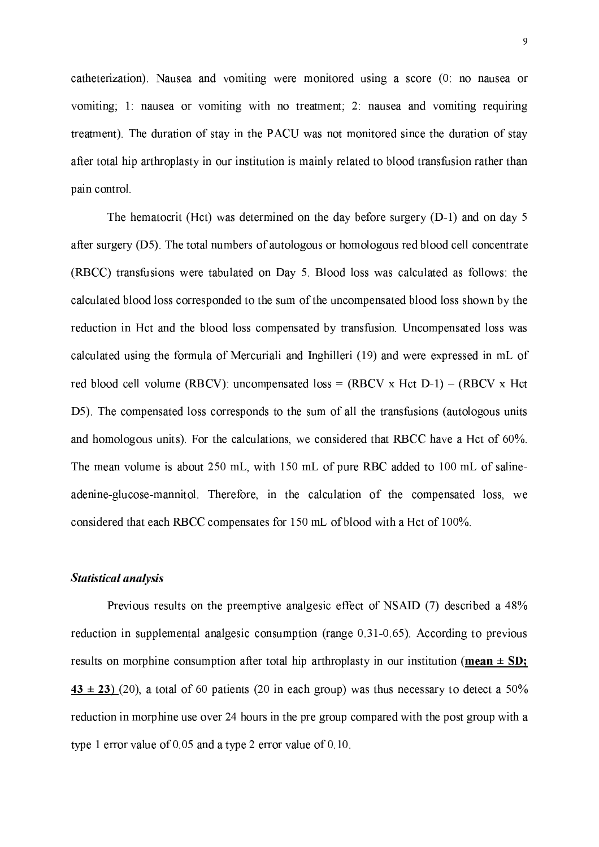catheterization). Nausea and vomiting were monitored using a score (0) no nausea or vomiting; 1: nausea or vomiting with no treatment; 2: nausea and vomiting requiring treatment). The duration of stay in the PACU was not monitored since the duration of stay after total hip arthroplasty in our institution is mainly related to blood transfusion rather than pain control.

The hematocrit (Hct) was determined on the day before surgery  $(D-1)$  and on day 5 after surgery (D5). The total numbers of autologous or homologous red blood cell concentrate (RBCC) transfusions were tabulated on Day 5. Blood loss was calculated as follows: the calculated blood loss corresponded to the sum of the uncompensated blood loss shown by the reduction in Hct and the blood loss compensated by transfusion. Uncompensated loss was calculated using the formula of Mercuriali and Inghilleri (19) and were expressed in mL of red blood cell volume (RBCV): uncompensated loss =  $(RBCV \times Hct D-1) - (RBCV \times Hct D)$ D5). The compensated loss corresponds to the sum of all the transfusions (autologous units and homologous units). For the calculations, we considered that RBCC have a Hct of 60%. The mean volume is about 250 mL, with 150 mL of pure RBC added to 100 mL of salineadenine-glucose-mannitol. Therefore, in the calculation of the compensated loss, we considered that each RBCC compensates for 150 mL of blood with a Hct of 100%.

#### **Statistical analysis**

Previous results on the preemptive analgesic effect of NSAID (7) described a 48% reduction in supplemental analgesic consumption (range 0.31-0.65). According to previous results on morphine consumption after total hip arthroplasty in our institution (mean  $\pm$  SD; 43 ± 23) (20), a total of 60 patients (20 in each group) was thus necessary to detect a  $50\%$ reduction in morphine use over 24 hours in the pre group compared with the post group with a type 1 error value of  $0.05$  and a type 2 error value of  $0.10$ .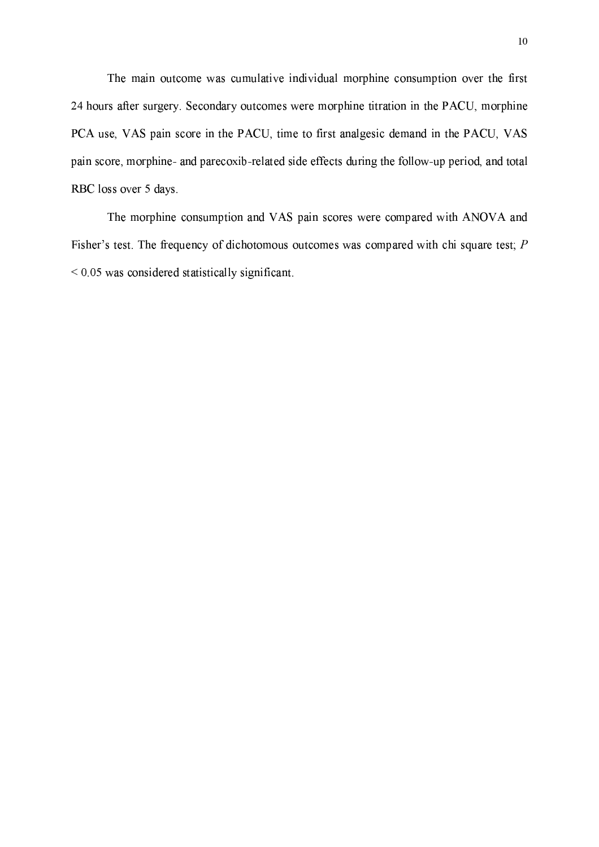The main outcome was cumulative individual morphine consumption over the first 24 hours after surgery. Secondary outcomes were morphine titration in the PACU, morphine PCA use, VAS pain score in the PACU, time to first analgesic demand in the PACU, VAS pain score, morphine- and parecoxib-related side effects during the follow-up period, and total RBC loss over 5 days.

The morphine consumption and VAS pain scores were compared with ANOVA and Fisher's test. The frequency of dichotomous outcomes was compared with chi square test;  $P$  $< 0.05$  was considered statistically significant.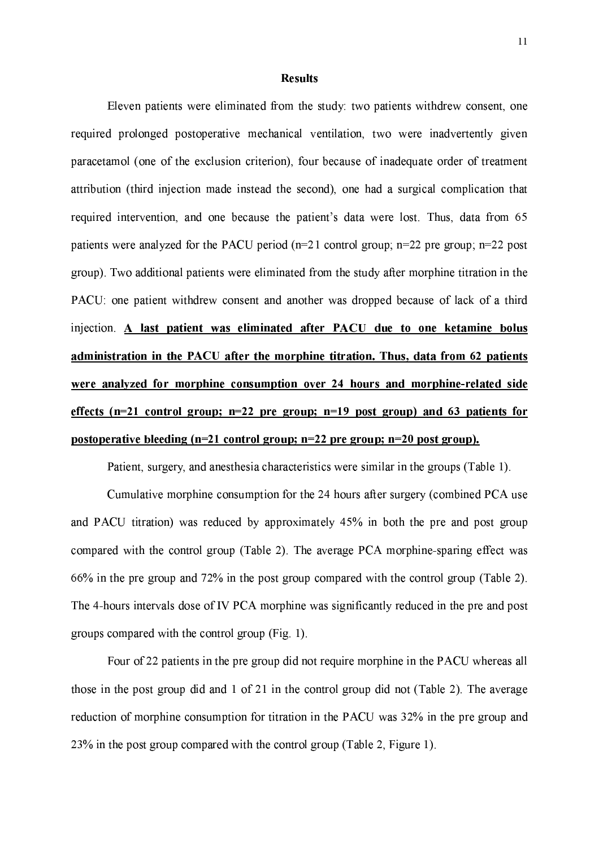#### **Results**

Eleven patients were eliminated from the study: two patients withdrew consent, one required prolonged postoperative mechanical ventilation, two were inadvertently given paracetamol (one of the exclusion criterion), four because of inadequate order of treatment attribution (third injection made instead the second), one had a surgical complication that required intervention, and one because the patient's data were lost. Thus, data from 65 patients were analyzed for the PACU period ( $n=21$  control group;  $n=22$  pre group;  $n=22$  post group). Two additional patients were eliminated from the study after morphine titration in the PACU: one patient withdrew consent and another was dropped because of lack of a third injection. A last patient was eliminated after PACU due to one ketamine bolus administration in the PACU after the morphine titration. Thus, data from 62 patients were analyzed for morphine consumption over 24 hours and morphine-related side effects  $(n=21 \text{ control group}; n=22 \text{ pre group}; n=19 \text{ post group})$  and 63 patients for postoperative bleeding  $(n=21 \text{ control group}; n=22 \text{ pre group}; n=20 \text{ post group}).$ 

Patient, surgery, and anesthesia characteristics were similar in the groups (Table 1).

Cumulative morphine consumption for the 24 hours after surgery (combined PCA use and PACU titration) was reduced by approximately 45% in both the pre and post group compared with the control group (Table 2). The average PCA morphine-sparing effect was 66% in the pre group and 72% in the post group compared with the control group (Table 2). The 4-hours intervals dose of IV PCA morphine was significantly reduced in the pre and post groups compared with the control group (Fig. 1).

Four of 22 patients in the pre group did not require morphine in the PACU whereas all those in the post group did and 1 of 21 in the control group did not (Table 2). The average reduction of morphine consumption for titration in the PACU was 32% in the pre group and 23% in the post group compared with the control group (Table 2, Figure 1).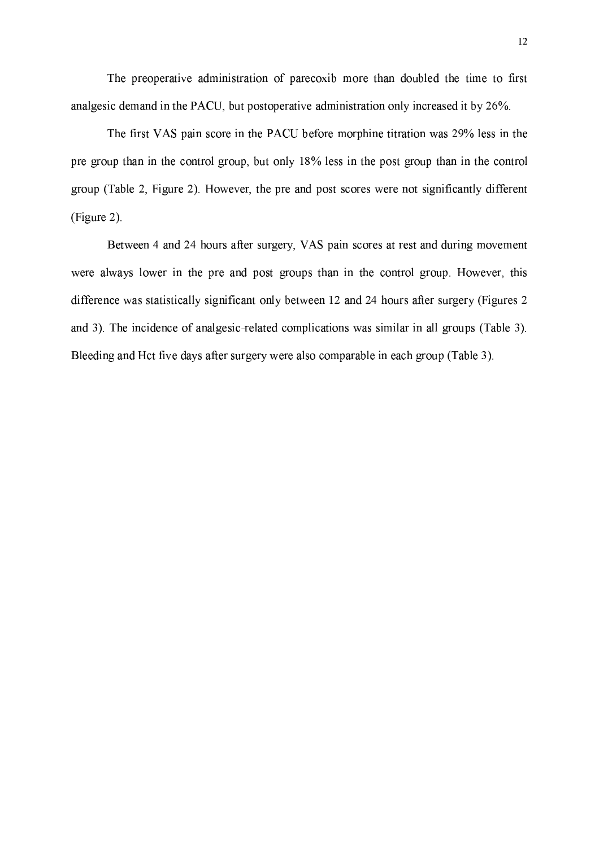The preoperative administration of parecoxib more than doubled the time to first analgesic demand in the PACU, but postoperative administration only increased it by 26%.

The first VAS pain score in the PACU before morphine titration was 29% less in the pre group than in the control group, but only 18% less in the post group than in the control group (Table 2, Figure 2). However, the pre and post scores were not significantly different (Figure 2).

Between 4 and 24 hours after surgery, VAS pain scores at rest and during movement were always lower in the pre and post groups than in the control group. However, this difference was statistically significant only between 12 and 24 hours after surgery (Figures 2) and 3). The incidence of analgesic-related complications was similar in all groups (Table 3). Bleeding and Hct five days after surgery were also comparable in each group (Table 3).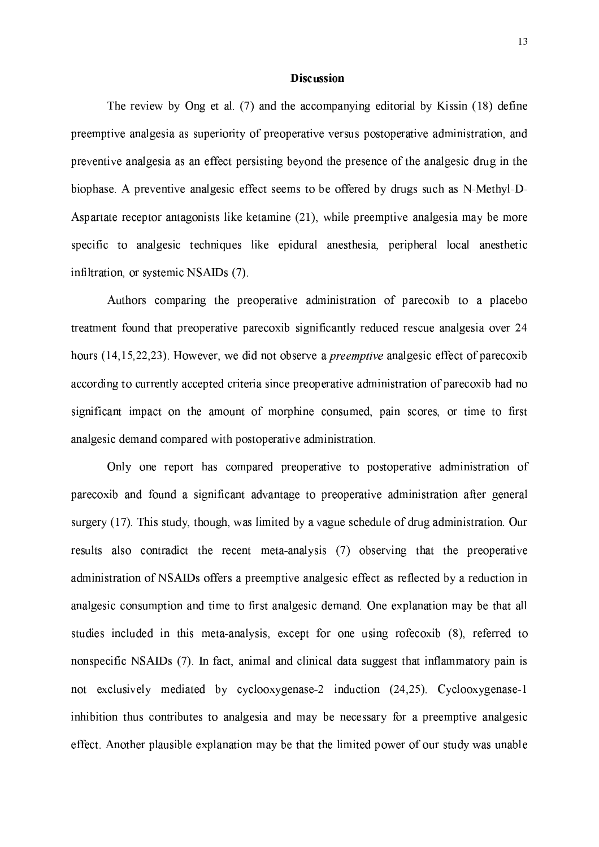#### **Discussion**

The review by Ong et al. (7) and the accompanying editorial by Kissin (18) define preemptive analgesia as superiority of preoperative versus postoperative administration, and preventive analgesia as an effect persisting beyond the presence of the analgesic drug in the biophase. A preventive analgesic effect seems to be offered by drugs such as N-Methyl-D-Aspartate receptor antagonists like ketamine (21), while preemptive analgesia may be more specific to analgesic techniques like epidural anesthesia, peripheral local anesthetic infiltration, or systemic NSAIDs (7).

Authors comparing the preoperative administration of parecoxib to a placebo treatment found that preoperative parecoxib significantly reduced rescue analgesia over 24 hours (14,15,22,23). However, we did not observe a *preemptive* analgesic effect of parecoxib according to currently accepted criteria since preoperative administration of parecoxib had no significant impact on the amount of morphine consumed, pain scores, or time to first analgesic demand compared with postoperative administration.

Only one report has compared preoperative to postoperative administration of parecoxib and found a significant advantage to preoperative administration after general surgery (17). This study, though, was limited by a vague schedule of drug administration. Our results also contradict the recent meta-analysis (7) observing that the preoperative administration of NSAIDs offers a preemptive analgesic effect as reflected by a reduction in analgesic consumption and time to first analgesic demand. One explanation may be that all studies included in this meta-analysis, except for one using rofecoxib (8), referred to nonspecific NSAIDs (7). In fact, animal and clinical data suggest that inflammatory pain is not exclusively mediated by cyclooxygenase-2 induction (24,25). Cyclooxygenase-1 inhibition thus contributes to analgesia and may be necessary for a preemptive analgesic effect. Another plausible explanation may be that the limited power of our study was unable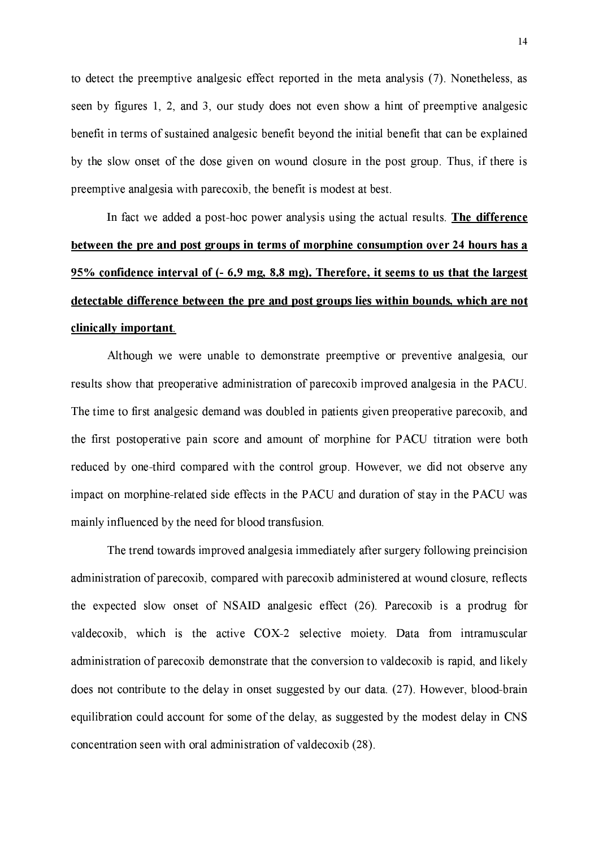to detect the preemptive analgesic effect reported in the meta analysis (7). Nonetheless, as seen by figures 1, 2, and 3, our study does not even show a hint of preemptive analgesic benefit in terms of sustained analgesic benefit beyond the initial benefit that can be explained by the slow onset of the dose given on wound closure in the post group. Thus, if there is preemptive analgesia with parecoxib, the benefit is modest at best.

In fact we added a post-hoc power analysis using the actual results. The difference between the pre and post groups in terms of morphine consumption over 24 hours has a 95% confidence interval of (- 6.9 mg, 8.8 mg). Therefore, it seems to us that the largest detectable difference between the pre and post groups lies within bounds, which are not clinically important.

Although we were unable to demonstrate preemptive or preventive analgesia, our results show that preoperative administration of parecoxib improved analgesia in the PACU. The time to first analgesic demand was doubled in patients given preoperative parecoxib, and the first postoperative pain score and amount of morphine for PACU titration were both reduced by one-third compared with the control group. However, we did not observe any impact on morphine-related side effects in the PACU and duration of stay in the PACU was mainly influenced by the need for blood transfusion.

The trend towards improved analgesia immediately after surgery following preincision administration of parecoxib, compared with parecoxib administered at wound closure, reflects the expected slow onset of NSAID analgesic effect (26). Parecoxib is a prodrug for valdecoxib, which is the active COX-2 selective moiety. Data from intramuscular administration of parecoxib demonstrate that the conversion to valdecoxib is rapid, and likely does not contribute to the delay in onset suggested by our data. (27). However, blood-brain equilibration could account for some of the delay, as suggested by the modest delay in CNS concentration seen with oral administration of valdecoxib (28).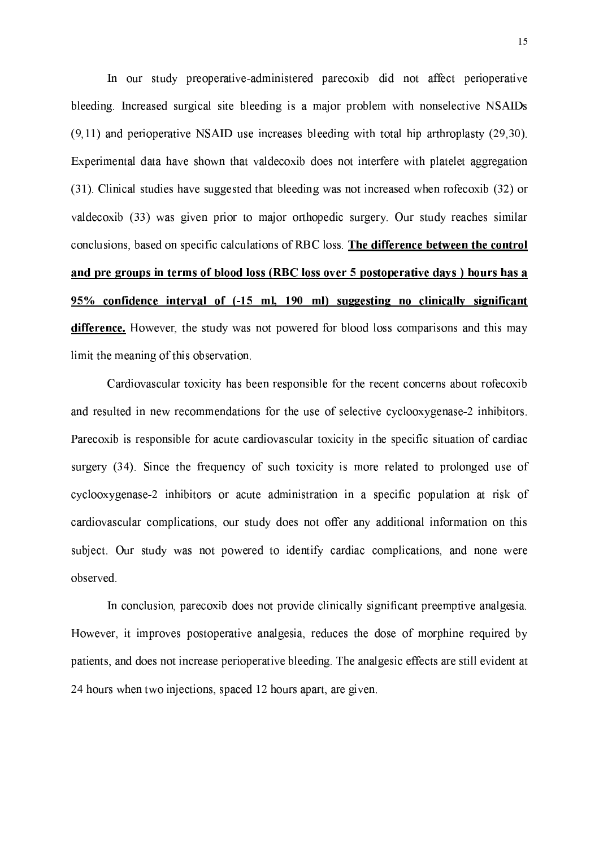In our study preoperative-administered parecoxib did not affect perioperative bleeding. Increased surgical site bleeding is a major problem with nonselective NSAIDs  $(9,11)$  and perioperative NSAID use increases bleeding with total hip arthroplasty  $(29,30)$ . Experimental data have shown that valdecoxib does not interfere with platelet aggregation (31). Clinical studies have suggested that bleeding was not increased when rofecoxib (32) or valdecoxib (33) was given prior to major orthopedic surgery. Our study reaches similar conclusions, based on specific calculations of RBC loss. The difference between the control and pre groups in terms of blood loss (RBC loss over 5 postoperative days) hours has a 95% confidence interval of (-15 ml, 190 ml) suggesting no clinically significant difference. However, the study was not powered for blood loss comparisons and this may limit the meaning of this observation.

Cardiovascular toxicity has been responsible for the recent concerns about rofecoxib and resulted in new recommendations for the use of selective cyclooxygenase-2 inhibitors. Parecoxib is responsible for acute cardiovascular toxicity in the specific situation of cardiac surgery (34). Since the frequency of such toxicity is more related to prolonged use of cyclooxygenase-2 inhibitors or acute administration in a specific population at risk of cardiovascular complications, our study does not offer any additional information on this subject. Our study was not powered to identify cardiac complications, and none were observed.

In conclusion, parecoxib does not provide clinically significant preemptive analgesia. However, it improves postoperative analgesia, reduces the dose of morphine required by patients, and does not increase perioperative bleeding. The analgesic effects are still evident at 24 hours when two injections, spaced 12 hours apart, are given.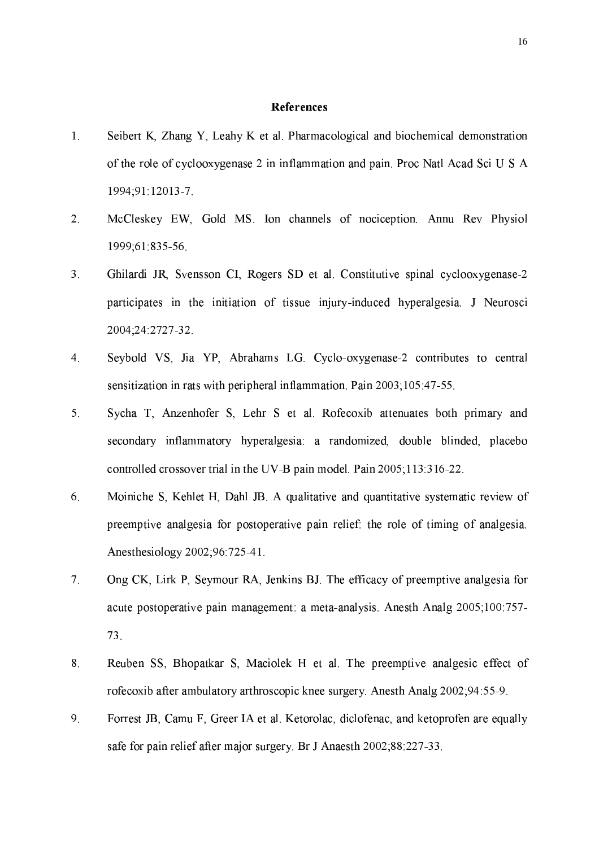#### **References**

- Seibert K, Zhang Y, Leahy K et al. Pharmacological and biochemical demonstration  $1<sup>1</sup>$ of the role of cyclooxygenase 2 in inflammation and pain. Proc Natl Acad Sci U S A 1994;91:12013-7.
- McCleskey EW, Gold MS. Ion channels of nociception. Annu Rev Physiol  $2.$ 1999;61:835-56.
- $3<sub>1</sub>$ Ghilardi JR, Svensson CI, Rogers SD et al. Constitutive spinal cyclooxygenase-2 participates in the initiation of tissue injury-induced hyperalgesia. J Neurosci 2004;24:2727-32.
- $\overline{4}$ . Seybold VS, Jia YP, Abrahams LG. Cyclo-oxygenase-2 contributes to central sensitization in rats with peripheral inflammation. Pain 2003;105:47-55.
- Sycha T, Anzenhofer S, Lehr S et al. Rofecoxib attenuates both primary and  $5<sub>1</sub>$ secondary inflammatory hyperalgesia: a randomized, double blinded, placebo controlled crossover trial in the UV-B pain model. Pain 2005;113:316-22.
- $6<sub>1</sub>$ Moiniche S, Kehlet H, Dahl JB. A qualitative and quantitative systematic review of preemptive analgesia for postoperative pain relief: the role of timing of analgesia. Anesthesiology 2002;96:725-41.
- $7<sup>1</sup>$ Ong CK, Lirk P, Seymour RA, Jenkins BJ. The efficacy of preemptive analgesia for acute postoperative pain management: a meta-analysis. Anesth Analg 2005;100:757-73.
- 8. Reuben SS, Bhopatkar S, Maciolek H et al. The preemptive analgesic effect of rofecoxib after ambulatory arthroscopic knee surgery. Anesth Analg 2002;94:55-9.
- 9. Forrest JB, Camu F, Greer IA et al. Ketorolac, diclofenac, and ketoprofen are equally safe for pain relief after major surgery. Br J Anaesth 2002;88:227-33.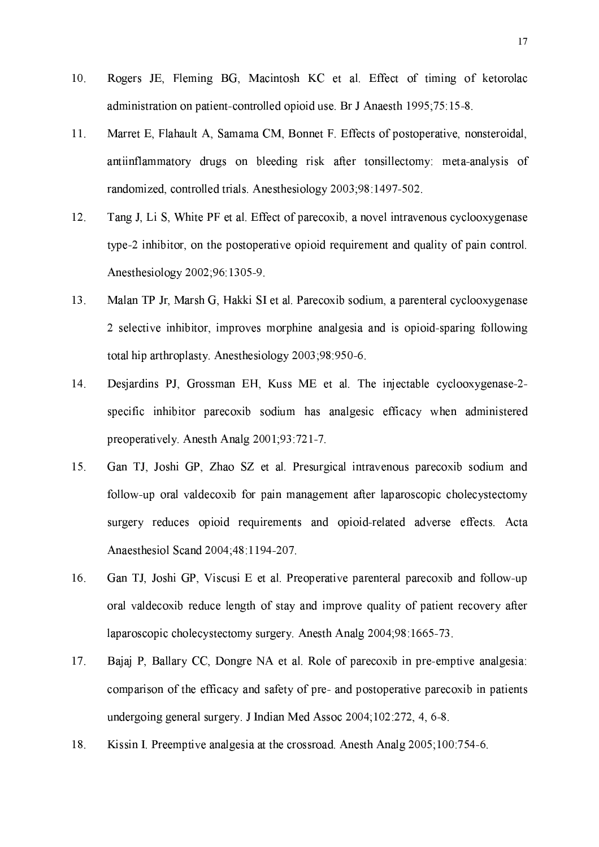- $10.$ Rogers JE, Fleming BG, Macintosh KC et al. Effect of timing of ketorolac administration on patient-controlled opioid use. Br J Anaesth 1995;75:15-8.
- $11.$ Marret E, Flahault A, Samama CM, Bonnet F. Effects of postoperative, nonsteroidal, antiinflammatory drugs on bleeding risk after tonsillectomy meta-analysis of randomized, controlled trials. Anesthesiology 2003;98:1497-502.
- $12<sub>1</sub>$ Tang J, Li S, White PF et al. Effect of parecoxib, a novel intravenous cyclooxygenase type-2 inhibitor, on the postoperative opioid requirement and quality of pain control. Anesthesiology 2002;96:1305-9.
- 13. Malan TP Jr, Marsh G, Hakki SI et al. Parecoxib sodium, a parenteral cyclooxygenase 2 selective inhibitor, improves morphine analgesia and is opioid-sparing following total hip arthroplasty. Anesthesiology 2003;98:950-6.
- 14. Desjardins PJ, Grossman EH, Kuss ME et al. The injectable cyclooxygenase-2specific inhibitor parecoxib sodium has analgesic efficacy when administered preoperatively. Anesth Analg 2001;93:721-7.
- 15. Gan TJ, Joshi GP, Zhao SZ et al. Presurgical intravenous parecoxib sodium and follow-up oral valdecoxib for pain management after laparoscopic cholecystectomy surgery reduces opioid requirements and opioid-related adverse effects. Acta Anaesthesiol Scand 2004;48:1194-207.
- 16. Gan TJ, Joshi GP, Viscusi E et al. Preoperative parenteral parecoxib and follow-up oral valdecoxib reduce length of stay and improve quality of patient recovery after laparoscopic cholecystectomy surgery. Anesth Analg 2004;98:1665-73.
- $17<sub>1</sub>$ Bajaj P, Ballary CC, Dongre NA et al. Role of parecoxib in pre-emptive analgesia: comparison of the efficacy and safety of pre- and postoperative parecoxib in patients undergoing general surgery. J Indian Med Assoc 2004;102:272, 4, 6-8.
- Kissin I. Preemptive analgesia at the crossroad. Anesth Analg 2005;100:754-6. 18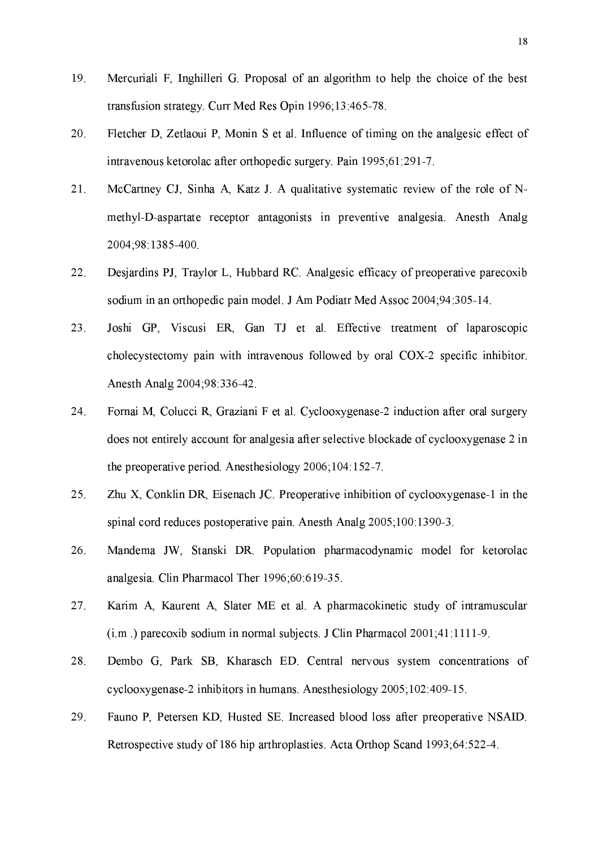- 19. Mercuriali F, Inghilleri G. Proposal of an algorithm to help the choice of the best transfusion strategy. Curr Med Res Opin 1996;13:465-78.
- 20. Fletcher D, Zetlaoui P, Monin S et al. Influence of timing on the analgesic effect of intravenous ketorolac after orthopedic surgery. Pain 1995;61:291-7.
- 21. McCartney CJ, Sinha A, Katz J. A qualitative systematic review of the role of Nmethyl-D-aspartate receptor antagonists in preventive analgesia. Anesth Analg 2004;98:1385-400.
- 22. Desjarding PJ, Traylor L, Hubbard RC. Analgesic efficacy of preoperative parecoxib sodium in an orthopedic pain model. J Am Podiatr Med Assoc 2004;94:305-14.
- Joshi GP, Viscusi ER, Gan TJ et al. Effective treatment of laparoscopic 23. cholecystectomy pain with intravenous followed by oral COX-2 specific inhibitor. Anesth Analg 2004;98:336-42.
- 24. Fornai M, Colucci R, Graziani F et al. Cyclooxygenase-2 induction after oral surgery does not entirely account for analgesia after selective blockade of cyclooxygenase 2 in the preoperative period. Anesthesiology 2006;104:152-7.
- 25. Zhu X, Conklin DR, Eisenach JC. Preoperative inhibition of cyclooxygenase-1 in the spinal cord reduces postoperative pain. Anesth Analg 2005;100:1390-3.
- Mandema JW, Stanski DR. Population pharmacodynamic model for ketorolac 26. analgesia. Clin Pharmacol Ther 1996;60:619-35.
- 27. Karim A, Kaurent A, Slater ME et al. A pharmacokinetic study of intramuscular  $(i.m.)$  parecoxib sodium in normal subjects. J Clin Pharmacol  $2001;41:1111-9$ .
- 28. Dembo G, Park SB, Kharasch ED. Central nervous system concentrations of cyclooxygenase-2 inhibitors in humans. Anesthesiology 2005;102:409-15.
- 29. Fauno P, Petersen KD, Husted SE. Increased blood loss after preoperative NSAID. Retrospective study of 186 hip arthroplasties. Acta Orthop Scand 1993:64:522-4.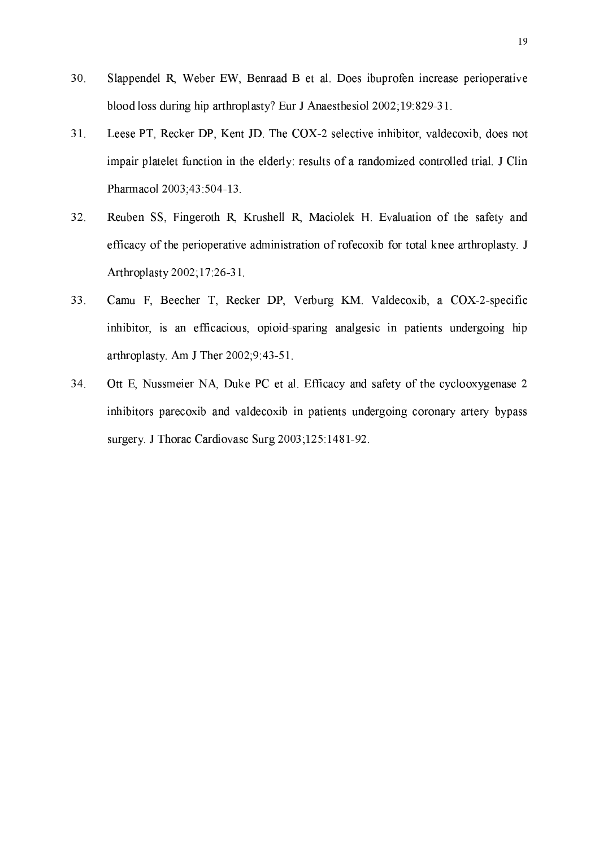- 30. Slappendel R, Weber EW, Benraad B et al. Does ibuprofen increase perioperative blood loss during hip arthroplasty? Eur J Anaesthesiol 2002;19:829-31.
- $31.$ Leese PT, Recker DP, Kent JD. The COX-2 selective inhibitor, valdecoxib, does not impair platelet function in the elderly: results of a randomized controlled trial. J Clin Pharmacol 2003;43:504-13.
- Reuben SS, Fingeroth R, Krushell R, Maciolek H, Evaluation of the safety and 32. efficacy of the perioperative administration of rofecoxib for total knee arthroplasty. J Arthroplasty 2002;17:26-31.
- 33. Camu F, Beecher T, Recker DP, Verburg KM. Valdecoxib, a COX-2-specific inhibitor, is an efficacious, opioid-sparing analgesic in patients undergoing hip arthroplasty. Am J Ther  $2002;9:43-51$ .
- 34. Ott E, Nussmeier NA, Duke PC et al. Efficacy and safety of the cyclooxygenase 2 inhibitors parecoxib and valdecoxib in patients undergoing coronary artery bypass surgery J Thorac Cardiovasc Surg 2003;125:1481-92.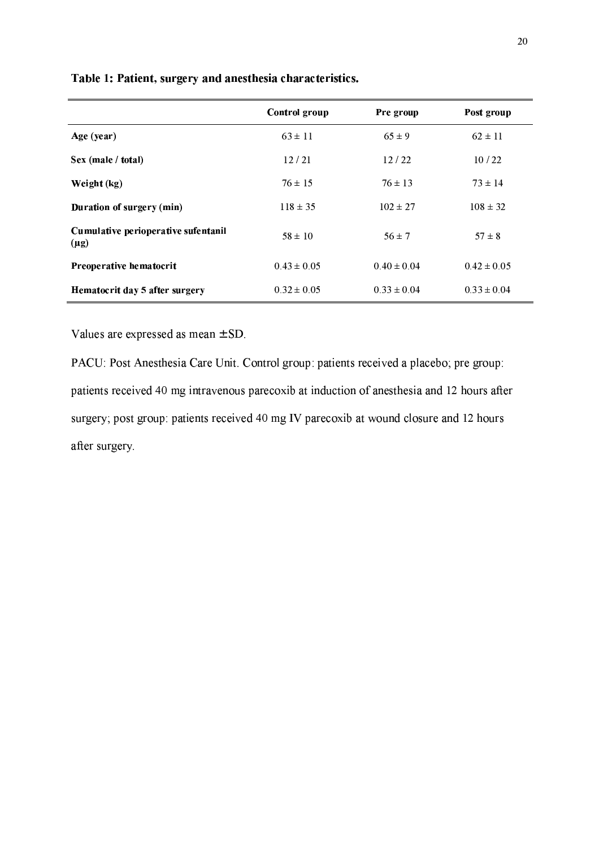|                                                  | Control group   | Pre group       | Post group      |
|--------------------------------------------------|-----------------|-----------------|-----------------|
| Age (year)                                       | $63 \pm 11$     | $65 \pm 9$      | $62 \pm 11$     |
| Sex (male / total)                               | 12/21           | 12/22           | 10/22           |
| Weight (kg)                                      | $76 \pm 15$     | $76 \pm 13$     | $73 \pm 14$     |
| Duration of surgery (min)                        | $118 \pm 35$    | $102 \pm 27$    | $108 \pm 32$    |
| Cumulative perioperative sufentanil<br>$(\mu g)$ | $58 \pm 10$     | $56 \pm 7$      | $57 \pm 8$      |
| Preoperative hematocrit                          | $0.43 \pm 0.05$ | $0.40 \pm 0.04$ | $0.42 \pm 0.05$ |
| Hematocrit day 5 after surgery                   | $0.32 \pm 0.05$ | $0.33 \pm 0.04$ | $0.33 \pm 0.04$ |

Table 1: Patient, surgery and anesthesia characteristics.

Values are expressed as mean  $\pm$  SD.

PACU: Post Anesthesia Care Unit. Control group: patients received a placebo; pre group: patients received 40 mg intravenous parecoxib at induction of anesthesia and 12 hours after surgery; post group: patients received 40 mg IV parecoxib at wound closure and 12 hours after surgery.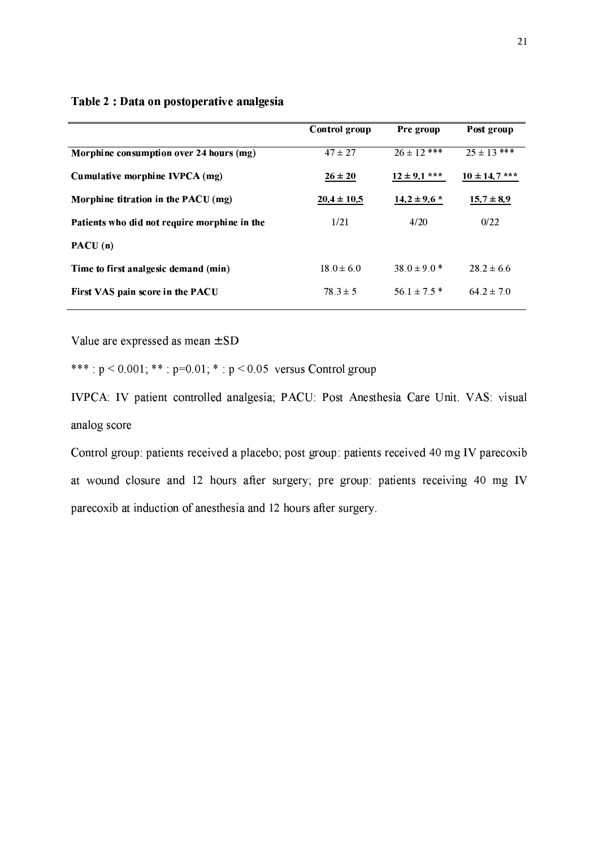|                                              | Control group   | Pre group        | Post group        |
|----------------------------------------------|-----------------|------------------|-------------------|
| Morphine consumption over 24 hours (mg)      | $47 \pm 27$     | $26 \pm 12$ ***  | $2.5 \pm 13$ ***  |
| Cumulative morphine IVPCA (mg)               | $26 \pm 20$     | $12 \pm 9.1$ *** | $10 \pm 14.7$ *** |
| Morphine titration in the $PACU$ (mg)        | $20.4 \pm 10.5$ | $14.2 \pm 9.6$ * | $15.7 \pm 8.9$    |
| Patients who did not require morphine in the | 1/21            | 4/20             | 0/22              |
| $\textbf{PACU}$ (n)                          |                 |                  |                   |
| Time to first analgesic demand (min)         | $18.0 \pm 6.0$  | $38.0 \pm 9.0$ * | $28.2 \pm 6.6$    |
| First VAS pain score in the PACU             | $78.3 \pm 5$    | $56.1 \pm 7.5$ * | $64.2 \pm 7.0$    |
|                                              |                 |                  |                   |

#### Table 2 : Data on postoperative analgesia

Value are expressed as mean  $\pm$  SD

\*\*\*:  $p < 0.001$ ; \*\*:  $p=0.01$ ; \*:  $p < 0.05$  versus Control group

IVPCA: IV patient controlled analgesia; PACU: Post Anesthesia Care Unit. VAS: visual analog score

Control group: patients received a placebo; post group: patients received 40 mg IV parecoxib at wound closure and 12 hours after surgery; pre group: patients receiving 40 mg IV parecoxib at induction of anesthesia and 12 hours after surgery.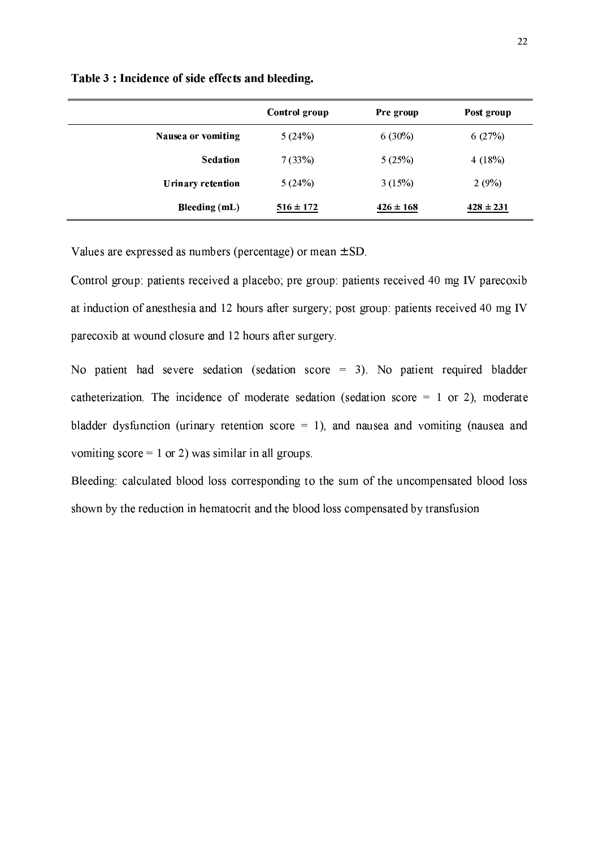|                          | Control group | Pre group     | Post group    |
|--------------------------|---------------|---------------|---------------|
| Nausea or vomiting       | 5(24%)        | $6(30\%)$     | 6(27%)        |
| <b>Sedation</b>          | 7(33%)        | 5(25%)        | 4(18%)        |
| <b>Urinary retention</b> | 5(24%)        | 3(15%)        | 2(9%)         |
| <b>Bleeding (mL)</b>     | $516 \pm 172$ | $426 \pm 168$ | $428 \pm 231$ |

Table 3 : Incidence of side effects and bleeding.

Values are expressed as numbers (percentage) or mean  $\pm$  SD.

Control group: patients received a placebo; pre group: patients received 40 mg IV parecoxib at induction of anesthesia and 12 hours after surgery; post group: patients received 40 mg IV parecoxib at wound closure and 12 hours after surgery.

No patient had severe sedation (sedation score  $=$  3). No patient required bladder catheterization. The incidence of moderate sedation (sedation score  $= 1$  or 2), moderate bladder dysfunction (urinary retention score  $= 1$ ), and nausea and vomiting (nausea and vomiting score = 1 or 2) was similar in all groups.

Bleeding: calculated blood loss corresponding to the sum of the uncompensated blood loss shown by the reduction in hematocrit and the blood loss compensated by transfusion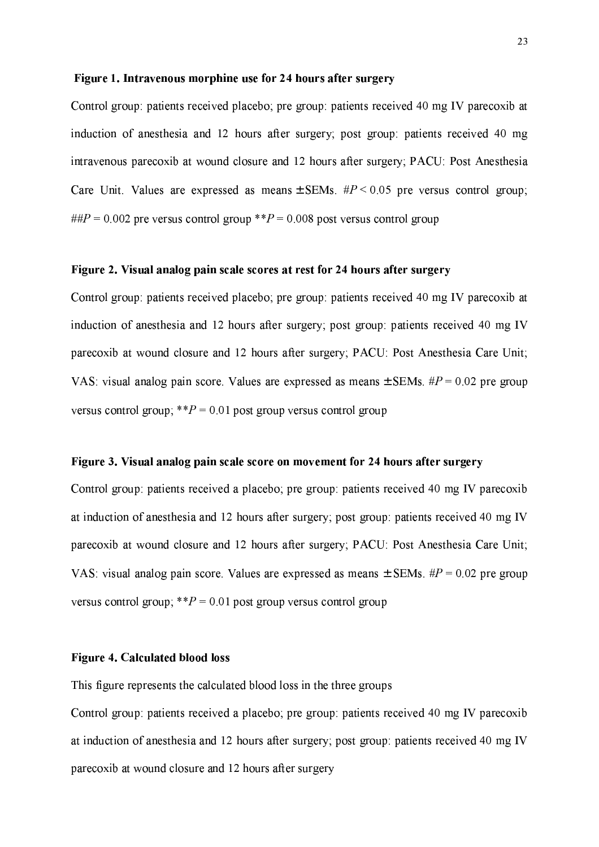#### Figure 1. Intravenous morphine use for 24 hours after surgery

Control group: patients received placebo; pre group: patients received 40 mg IV parecoxib at induction of anesthesia and 12 hours after surgery; post group: patients received 40 mg intravenous parecoxib at wound closure and 12 hours after surgery; PACU: Post Anesthesia Care Unit. Values are expressed as means  $\pm$  SEMs.  $\#P \le 0.05$  pre versus control group; ## $P = 0.002$  pre versus control group \*\* $P = 0.008$  post versus control group

#### Figure 2. Visual analog pain scale scores at rest for 24 hours after surgery

Control group: patients received placebo; pre group: patients received 40 mg IV parecoxib at induction of anesthesia and 12 hours after surgery; post group: patients received 40 mg IV parecoxib at wound closure and 12 hours after surgery; PACU: Post Anesthesia Care Unit; VAS: visual analog pain score. Values are expressed as means  $\pm$  SEMs.  $\#P = 0.02$  pre group versus control group;  $*P = 0.01$  post group versus control group

#### Figure 3. Visual analog pain scale score on movement for 24 hours after surgery

Control group: patients received a placebo; pre group: patients received 40 mg IV parecoxib at induction of anesthesia and 12 hours after surgery; post group: patients received 40 mg IV parecoxib at wound closure and 12 hours after surgery; PACU: Post Anesthesia Care Unit; VAS: visual analog pain score. Values are expressed as means  $\pm$  SEMs.  $\#P = 0.02$  pre group versus control group;  $*P = 0.01$  post group versus control group

#### **Figure 4. Calculated blood loss**

This figure represents the calculated blood loss in the three groups

Control group: patients received a placebo; pre group: patients received 40 mg IV parecoxib at induction of anesthesia and 12 hours after surgery; post group: patients received 40 mg IV parecoxib at wound closure and 12 hours after surgery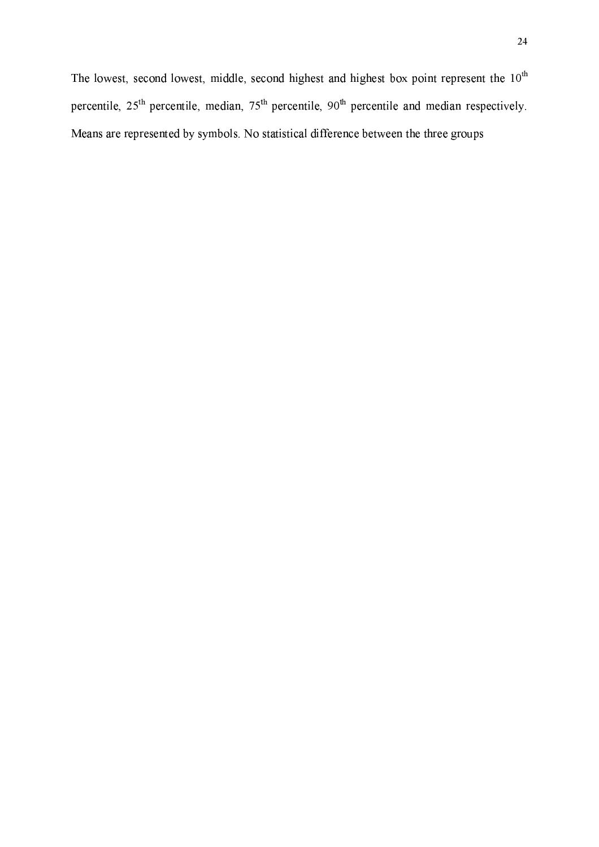The lowest, second lowest, middle, second highest and highest box point represent the 10<sup>th</sup> percentile, 25<sup>th</sup> percentile, median, 75<sup>th</sup> percentile, 90<sup>th</sup> percentile and median respectively. Means are represented by symbols. No statistical difference between the three groups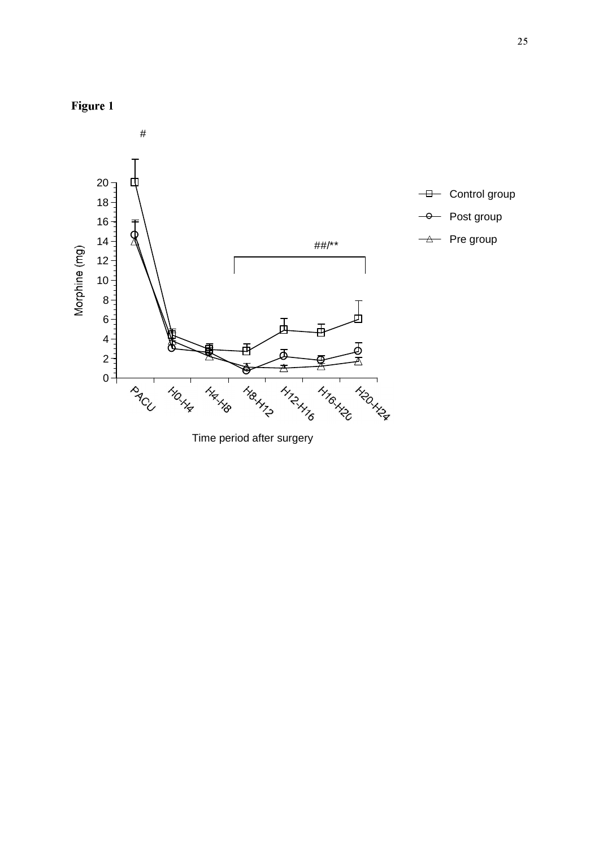



Time period after surgery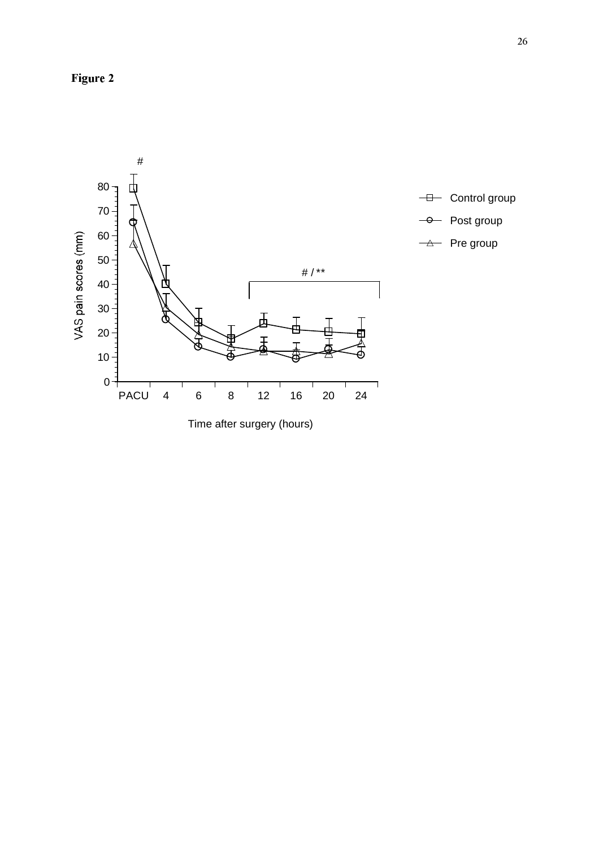Figure 2

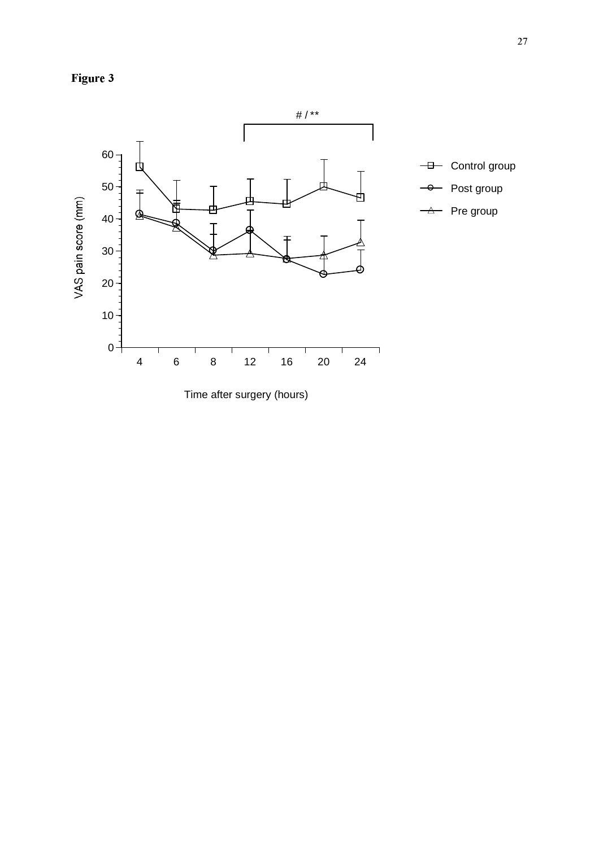



Time after surgery (hours)